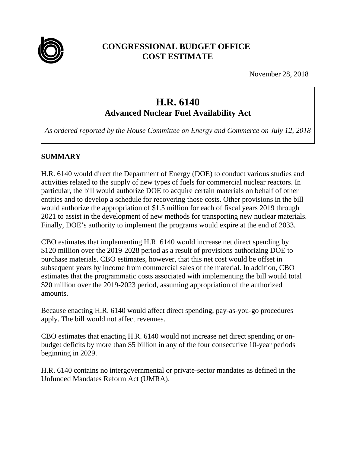

# **CONGRESSIONAL BUDGET OFFICE COST ESTIMATE**

November 28, 2018

# **H.R. 6140**

**Advanced Nuclear Fuel Availability Act**

*As ordered reported by the House Committee on Energy and Commerce on July 12, 2018*

#### **SUMMARY**

H.R. 6140 would direct the Department of Energy (DOE) to conduct various studies and activities related to the supply of new types of fuels for commercial nuclear reactors. In particular, the bill would authorize DOE to acquire certain materials on behalf of other entities and to develop a schedule for recovering those costs. Other provisions in the bill would authorize the appropriation of \$1.5 million for each of fiscal years 2019 through 2021 to assist in the development of new methods for transporting new nuclear materials. Finally, DOE's authority to implement the programs would expire at the end of 2033.

CBO estimates that implementing H.R. 6140 would increase net direct spending by \$120 million over the 2019-2028 period as a result of provisions authorizing DOE to purchase materials. CBO estimates, however, that this net cost would be offset in subsequent years by income from commercial sales of the material. In addition, CBO estimates that the programmatic costs associated with implementing the bill would total \$20 million over the 2019-2023 period, assuming appropriation of the authorized amounts.

Because enacting H.R. 6140 would affect direct spending, pay-as-you-go procedures apply. The bill would not affect revenues.

CBO estimates that enacting H.R. 6140 would not increase net direct spending or onbudget deficits by more than \$5 billion in any of the four consecutive 10-year periods beginning in 2029.

H.R. 6140 contains no intergovernmental or private-sector mandates as defined in the Unfunded Mandates Reform Act (UMRA).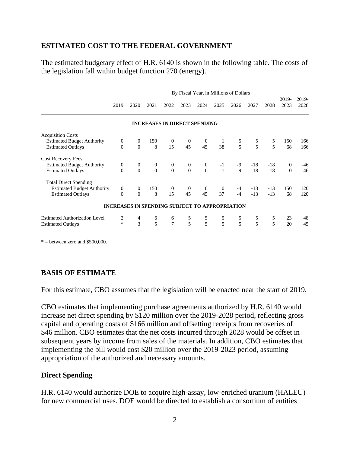# **ESTIMATED COST TO THE FEDERAL GOVERNMENT**

The estimated budgetary effect of H.R. 6140 is shown in the following table. The costs of the legislation fall within budget function 270 (energy).

|                                      | By Fiscal Year, in Millions of Dollars |                  |                |                                                       |                |                  |                |               |                |                          |                |               |
|--------------------------------------|----------------------------------------|------------------|----------------|-------------------------------------------------------|----------------|------------------|----------------|---------------|----------------|--------------------------|----------------|---------------|
|                                      | 2019                                   | 2020             | 2021           | 2022                                                  | 2023           | 2024             | 2025           | 2026          | 2027           | 2028                     | 2019-<br>2023  | 2019-<br>2028 |
|                                      |                                        |                  |                | <b>INCREASES IN DIRECT SPENDING</b>                   |                |                  |                |               |                |                          |                |               |
| <b>Acquisition Costs</b>             |                                        |                  |                |                                                       |                |                  |                |               |                |                          |                |               |
| <b>Estimated Budget Authority</b>    | $\overline{0}$                         | $\theta$         | 150            | $\overline{0}$                                        | $\mathbf{0}$   | $\boldsymbol{0}$ | 1              |               |                | 5                        | 150            | 166           |
| <b>Estimated Outlays</b>             | $\Omega$                               | $\Omega$         | 8              | 15                                                    | 45             | 45               | 38             | $\frac{5}{5}$ | $\frac{5}{5}$  | $\overline{\phantom{0}}$ | 68             | 166           |
| <b>Cost Recovery Fees</b>            |                                        |                  |                |                                                       |                |                  |                |               |                |                          |                |               |
| <b>Estimated Budget Authority</b>    | $\mathbf{0}$                           | $\boldsymbol{0}$ | $\overline{0}$ | $\overline{0}$                                        | $\mathbf{0}$   | $\boldsymbol{0}$ | $-1$           | -9            | $-18$          | $-18$                    | $\mathbf{0}$   | -46           |
| <b>Estimated Outlays</b>             | $\Omega$                               | $\overline{0}$   | $\Omega$       | $\theta$                                              | $\overline{0}$ | $\Omega$         | $-1$           | $-9$          | $-18$          | $-18$                    | $\overline{0}$ | $-46$         |
| <b>Total Direct Spending</b>         |                                        |                  |                |                                                       |                |                  |                |               |                |                          |                |               |
| <b>Estimated Budget Authority</b>    | $\overline{0}$                         | $\overline{0}$   | 150            | $\overline{0}$                                        | $\overline{0}$ | $\mathbf{0}$     | $\overline{0}$ | $-4$          | $-13$          | $-13$                    | 150            | 120           |
| <b>Estimated Outlays</b>             | $\mathbf{0}$                           | $\Omega$         | 8              | 15                                                    | 45             | 45               | 37             | $-4$          | $-13$          | $-13$                    | 68             | 120           |
|                                      |                                        |                  |                | <b>INCREASES IN SPENDING SUBJECT TO APPROPRIATION</b> |                |                  |                |               |                |                          |                |               |
| <b>Estimated Authorization Level</b> | 2                                      |                  | 6              | 6                                                     |                |                  |                |               | 5              | 5                        | 23             | 48            |
| <b>Estimated Outlays</b>             | $\ast$                                 | $\frac{4}{3}$    | $\overline{5}$ | $\overline{7}$                                        | $\frac{5}{5}$  | $\frac{5}{5}$    | $\frac{5}{5}$  | $\frac{5}{5}$ | $\overline{5}$ | 5                        | 20             | 45            |

#### **BASIS OF ESTIMATE**

For this estimate, CBO assumes that the legislation will be enacted near the start of 2019.

CBO estimates that implementing purchase agreements authorized by H.R. 6140 would increase net direct spending by \$120 million over the 2019-2028 period, reflecting gross capital and operating costs of \$166 million and offsetting receipts from recoveries of \$46 million. CBO estimates that the net costs incurred through 2028 would be offset in subsequent years by income from sales of the materials. In addition, CBO estimates that implementing the bill would cost \$20 million over the 2019-2023 period, assuming appropriation of the authorized and necessary amounts.

#### **Direct Spending**

H.R. 6140 would authorize DOE to acquire high-assay, low-enriched uranium (HALEU) for new commercial uses. DOE would be directed to establish a consortium of entities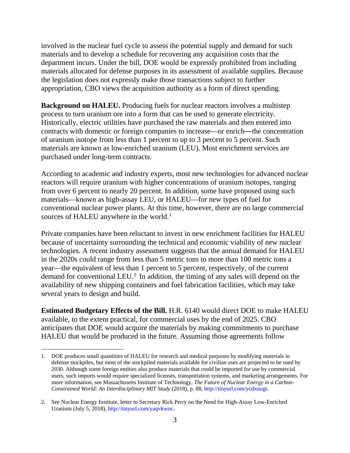involved in the nuclear fuel cycle to assess the potential supply and demand for such materials and to develop a schedule for recovering any acquisition costs that the department incurs. Under the bill, DOE would be expressly prohibited from including materials allocated for defense purposes in its assessment of available supplies. Because the legislation does not expressly make those transactions subject to further appropriation, CBO views the acquisition authority as a form of direct spending.

**Background on HALEU.** Producing fuels for nuclear reactors involves a multistep process to turn uranium ore into a form that can be used to generate electricity. Historically, electric utilities have purchased the raw materials and then entered into contracts with domestic or foreign companies to increase—or enrich—the concentration of uranium isotope from less than 1 percent to up to 3 percent to 5 percent. Such materials are known as low-enriched uranium (LEU). Most enrichment services are purchased under long-term contracts.

According to academic and industry experts, most new technologies for advanced nuclear reactors will require uranium with higher concentrations of uranium isotopes, ranging from over 6 percent to nearly 20 percent. In addition, some have proposed using such materials—known as high-assay LEU, or HALEU—for new types of fuel for conventional nuclear power plants. At this time, however, there are no large commercial sources of HALEU anywhere in the world.<sup>[1](#page-2-0)</sup>

Private companies have been reluctant to invest in new enrichment facilities for HALEU because of uncertainty surrounding the technical and economic viability of new nuclear technologies. A recent industry assessment suggests that the annual demand for HALEU in the 2020s could range from less than 5 metric tons to more than 100 metric tons a year—the equivalent of less than 1 percent to 5 percent, respectively, of the current demand for conventional LEU.[2](#page-2-1) In addition, the timing of any sales will depend on the availability of new shipping containers and fuel fabrication facilities, which may take several years to design and build.

**Estimated Budgetary Effects of the Bill.** H.R. 6140 would direct DOE to make HALEU available, to the extent practical, for commercial uses by the end of 2025. CBO anticipates that DOE would acquire the materials by making commitments to purchase HALEU that would be produced in the future. Assuming those agreements follow

<span id="page-2-0"></span> <sup>1.</sup> DOE produces small quantities of HALEU for research and medical purposes by modifying materials in defense stockpiles, but most of the stockpiled materials available for civilian uses are projected to be used by 2030. Although some foreign entities also produce materials that could be imported for use by commercial users, such imports would require specialized licenses, transportation systems, and marketing arrangements. For more information, see Massachusetts Institute of Technology, *The Future of Nuclear Energy in a Carbon-Constrained World: An Interdisciplinary MIT Study* (2018), p. 88, [http://tinyurl.com/ycdxnugt.](http://tinyurl.com/ycdxnugt)

<span id="page-2-1"></span><sup>2.</sup> See Nuclear Energy Institute, letter to Secretary Rick Perry on the Need for High-Assay Low-Enriched Uranium (July 5, 2018), [http://tinyurl.com/yaqvkwoc.](http://tinyurl.com/yaqvkwoc)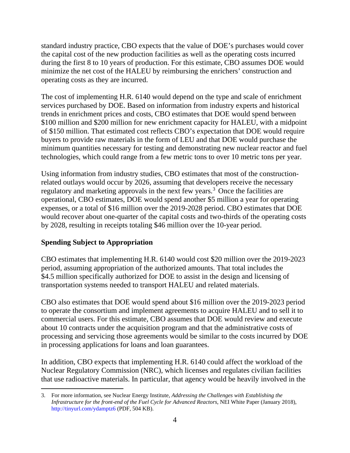standard industry practice, CBO expects that the value of DOE's purchases would cover the capital cost of the new production facilities as well as the operating costs incurred during the first 8 to 10 years of production. For this estimate, CBO assumes DOE would minimize the net cost of the HALEU by reimbursing the enrichers' construction and operating costs as they are incurred.

The cost of implementing H.R. 6140 would depend on the type and scale of enrichment services purchased by DOE. Based on information from industry experts and historical trends in enrichment prices and costs, CBO estimates that DOE would spend between \$100 million and \$200 million for new enrichment capacity for HALEU, with a midpoint of \$150 million. That estimated cost reflects CBO's expectation that DOE would require buyers to provide raw materials in the form of LEU and that DOE would purchase the minimum quantities necessary for testing and demonstrating new nuclear reactor and fuel technologies, which could range from a few metric tons to over 10 metric tons per year.

Using information from industry studies, CBO estimates that most of the constructionrelated outlays would occur by 2026, assuming that developers receive the necessary regulatory and marketing approvals in the next few years.<sup>[3](#page-3-0)</sup> Once the facilities are operational, CBO estimates, DOE would spend another \$5 million a year for operating expenses, or a total of \$16 million over the 2019-2028 period. CBO estimates that DOE would recover about one-quarter of the capital costs and two-thirds of the operating costs by 2028, resulting in receipts totaling \$46 million over the 10-year period.

# **Spending Subject to Appropriation**

CBO estimates that implementing H.R. 6140 would cost \$20 million over the 2019-2023 period, assuming appropriation of the authorized amounts. That total includes the \$4.5 million specifically authorized for DOE to assist in the design and licensing of transportation systems needed to transport HALEU and related materials.

CBO also estimates that DOE would spend about \$16 million over the 2019-2023 period to operate the consortium and implement agreements to acquire HALEU and to sell it to commercial users. For this estimate, CBO assumes that DOE would review and execute about 10 contracts under the acquisition program and that the administrative costs of processing and servicing those agreements would be similar to the costs incurred by DOE in processing applications for loans and loan guarantees.

In addition, CBO expects that implementing H.R. 6140 could affect the workload of the Nuclear Regulatory Commission (NRC), which licenses and regulates civilian facilities that use radioactive materials. In particular, that agency would be heavily involved in the

<span id="page-3-0"></span> <sup>3.</sup> For more information, see Nuclear Energy Institute, *Addressing the Challenges with Establishing the Infrastructure for the front-end of the Fuel Cycle for Advanced Reactors*, NEI White Paper (January 2018), <http://tinyurl.com/ydamptz6> (PDF, 504 KB).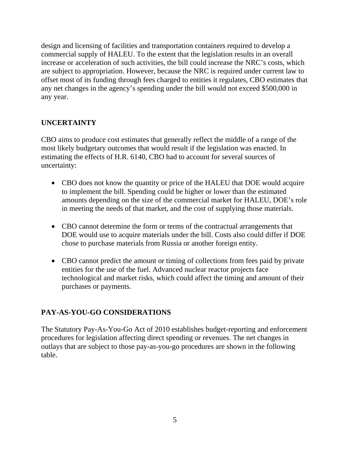design and licensing of facilities and transportation containers required to develop a commercial supply of HALEU. To the extent that the legislation results in an overall increase or acceleration of such activities, the bill could increase the NRC's costs, which are subject to appropriation. However, because the NRC is required under current law to offset most of its funding through fees charged to entities it regulates, CBO estimates that any net changes in the agency's spending under the bill would not exceed \$500,000 in any year.

#### **UNCERTAINTY**

CBO aims to produce cost estimates that generally reflect the middle of a range of the most likely budgetary outcomes that would result if the legislation was enacted. In estimating the effects of H.R. 6140, CBO had to account for several sources of uncertainty:

- CBO does not know the quantity or price of the HALEU that DOE would acquire to implement the bill. Spending could be higher or lower than the estimated amounts depending on the size of the commercial market for HALEU, DOE's role in meeting the needs of that market, and the cost of supplying those materials.
- CBO cannot determine the form or terms of the contractual arrangements that DOE would use to acquire materials under the bill. Costs also could differ if DOE chose to purchase materials from Russia or another foreign entity.
- CBO cannot predict the amount or timing of collections from fees paid by private entities for the use of the fuel. Advanced nuclear reactor projects face technological and market risks, which could affect the timing and amount of their purchases or payments.

# **PAY-AS-YOU-GO CONSIDERATIONS**

The Statutory Pay-As-You-Go Act of 2010 establishes budget-reporting and enforcement procedures for legislation affecting direct spending or revenues. The net changes in outlays that are subject to those pay-as-you-go procedures are shown in the following table.